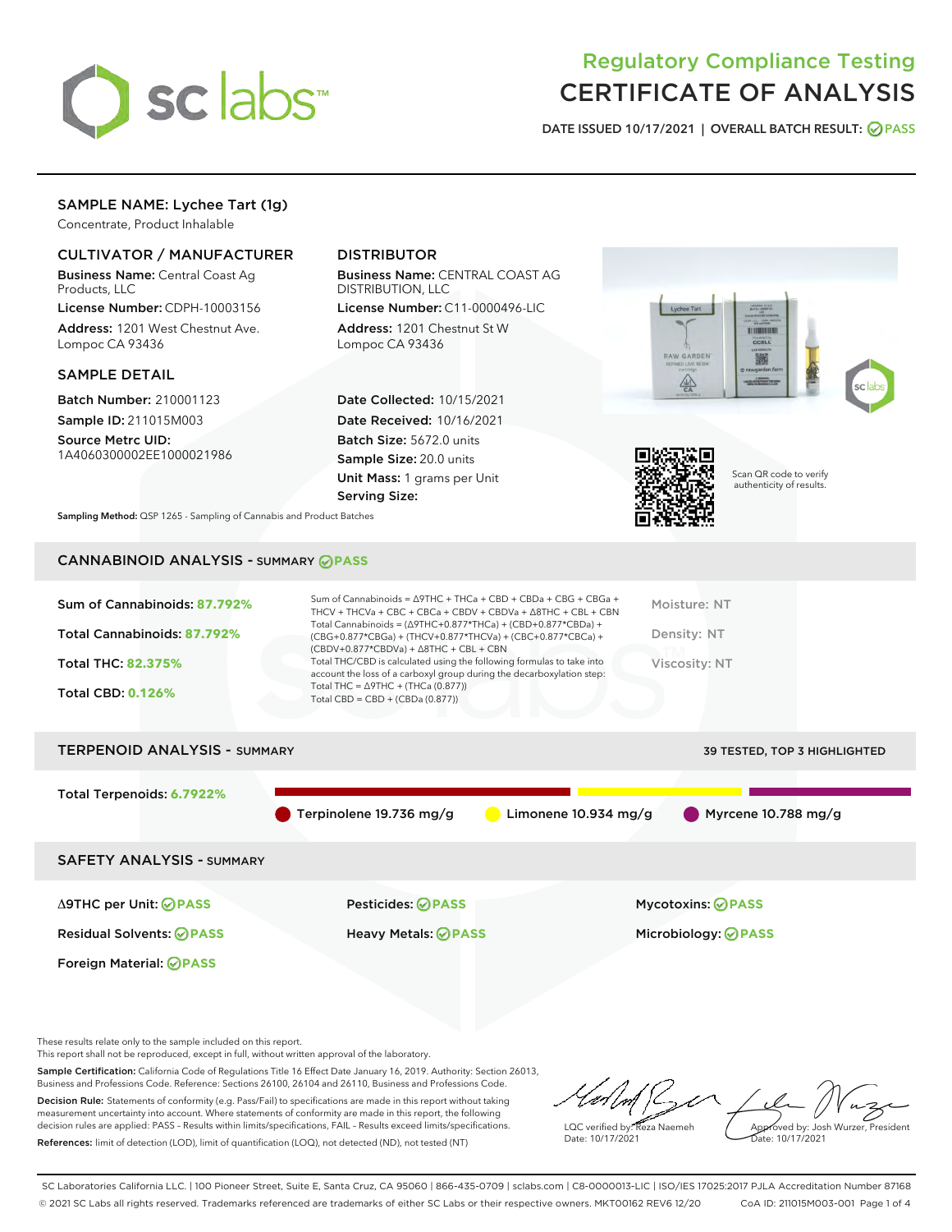

# Regulatory Compliance Testing CERTIFICATE OF ANALYSIS

DATE ISSUED 10/17/2021 | OVERALL BATCH RESULT: @ PASS

## SAMPLE NAME: Lychee Tart (1g)

Concentrate, Product Inhalable

## CULTIVATOR / MANUFACTURER

Business Name: Central Coast Ag Products, LLC

License Number: CDPH-10003156 Address: 1201 West Chestnut Ave. Lompoc CA 93436

## SAMPLE DETAIL

Batch Number: 210001123 Sample ID: 211015M003

Source Metrc UID: 1A4060300002EE1000021986

## DISTRIBUTOR

Business Name: CENTRAL COAST AG DISTRIBUTION, LLC

License Number: C11-0000496-LIC Address: 1201 Chestnut St W Lompoc CA 93436

Date Collected: 10/15/2021 Date Received: 10/16/2021 Batch Size: 5672.0 units Sample Size: 20.0 units Unit Mass: 1 grams per Unit Serving Size:





Scan QR code to verify authenticity of results.

Sampling Method: QSP 1265 - Sampling of Cannabis and Product Batches

## CANNABINOID ANALYSIS - SUMMARY **PASS**

| Sum of Cannabinoids: 87.792%  | Sum of Cannabinoids = $\triangle$ 9THC + THCa + CBD + CBDa + CBG + CBGa +<br>THCV + THCVa + CBC + CBCa + CBDV + CBDVa + $\land$ 8THC + CBL + CBN                                         | Moisture: NT                       |
|-------------------------------|------------------------------------------------------------------------------------------------------------------------------------------------------------------------------------------|------------------------------------|
| Total Cannabinoids: 87.792%   | Total Cannabinoids = $(\Delta 9THC + 0.877*THCa) + (CBD + 0.877*CBDa) +$<br>(CBG+0.877*CBGa) + (THCV+0.877*THCVa) + (CBC+0.877*CBCa) +<br>$(CBDV+0.877*CBDVa) + \Delta 8THC + CBL + CBN$ | Density: NT                        |
| <b>Total THC: 82.375%</b>     | Total THC/CBD is calculated using the following formulas to take into<br>account the loss of a carboxyl group during the decarboxylation step:                                           | <b>Viscosity: NT</b>               |
| <b>Total CBD: 0.126%</b>      | Total THC = $\triangle$ 9THC + (THCa (0.877))<br>Total CBD = $CBD + (CBDa (0.877))$                                                                                                      |                                    |
| TEDDENOID ANAI VCIC - CUMMADV |                                                                                                                                                                                          | <b>ZO TECTED TOD Z HIGHLIGHTED</b> |

| I ERPENUID ANAL 1 313 - SUMMARY  |                                        |                        | <b>39 ILSILD, TOP 3 HIGHLIGHTED</b> |
|----------------------------------|----------------------------------------|------------------------|-------------------------------------|
| Total Terpenoids: 6.7922%        |                                        |                        |                                     |
|                                  | $\blacksquare$ Terpinolene 19.736 mg/g | Limonene $10.934$ mg/g | $\bigcirc$ Myrcene 10.788 mg/g      |
| <b>SAFETY ANALYSIS - SUMMARY</b> |                                        |                        |                                     |
|                                  |                                        |                        |                                     |

Foreign Material: **PASS**

Δ9THC per Unit: **PASS** Pesticides: **PASS** Mycotoxins: **PASS**

Residual Solvents: **PASS** Heavy Metals: **PASS** Microbiology: **PASS**

These results relate only to the sample included on this report.

This report shall not be reproduced, except in full, without written approval of the laboratory.

Sample Certification: California Code of Regulations Title 16 Effect Date January 16, 2019. Authority: Section 26013, Business and Professions Code. Reference: Sections 26100, 26104 and 26110, Business and Professions Code. Decision Rule: Statements of conformity (e.g. Pass/Fail) to specifications are made in this report without taking measurement uncertainty into account. Where statements of conformity are made in this report, the following

References: limit of detection (LOD), limit of quantification (LOQ), not detected (ND), not tested (NT)

decision rules are applied: PASS – Results within limits/specifications, FAIL – Results exceed limits/specifications.

LQC verified by: Reza Naemeh Date: 10/17/2021 Approved by: Josh Wurzer, President Date: 10/17/2021

SC Laboratories California LLC. | 100 Pioneer Street, Suite E, Santa Cruz, CA 95060 | 866-435-0709 | sclabs.com | C8-0000013-LIC | ISO/IES 17025:2017 PJLA Accreditation Number 87168 © 2021 SC Labs all rights reserved. Trademarks referenced are trademarks of either SC Labs or their respective owners. MKT00162 REV6 12/20 CoA ID: 211015M003-001 Page 1 of 4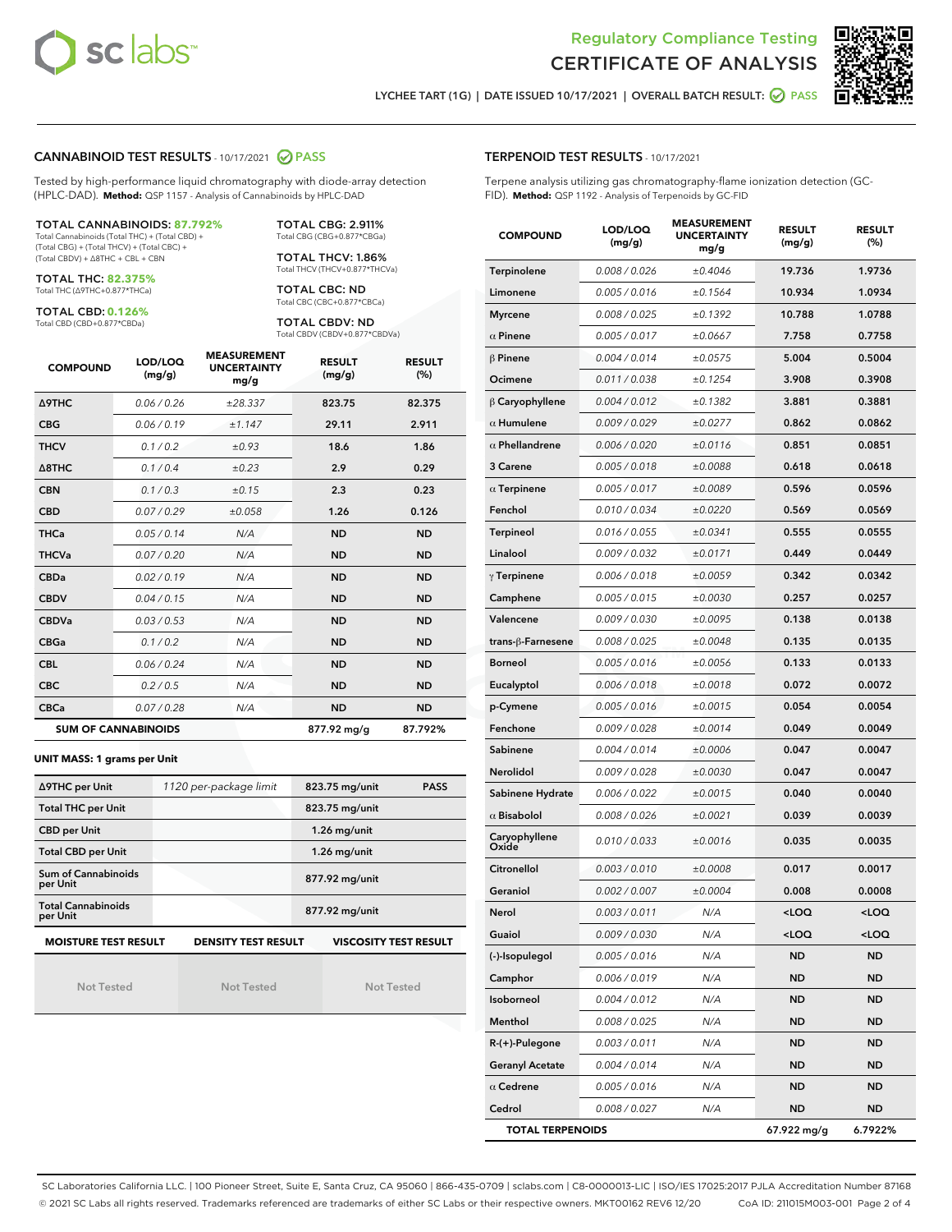



LYCHEE TART (1G) | DATE ISSUED 10/17/2021 | OVERALL BATCH RESULT: @ PASS

#### CANNABINOID TEST RESULTS - 10/17/2021 2 PASS

Tested by high-performance liquid chromatography with diode-array detection (HPLC-DAD). **Method:** QSP 1157 - Analysis of Cannabinoids by HPLC-DAD

#### TOTAL CANNABINOIDS: **87.792%**

Total Cannabinoids (Total THC) + (Total CBD) + (Total CBG) + (Total THCV) + (Total CBC) + (Total CBDV) + ∆8THC + CBL + CBN

TOTAL THC: **82.375%** Total THC (∆9THC+0.877\*THCa)

TOTAL CBD: **0.126%**

Total CBD (CBD+0.877\*CBDa)

TOTAL CBG: 2.911% Total CBG (CBG+0.877\*CBGa)

TOTAL THCV: 1.86% Total THCV (THCV+0.877\*THCVa)

TOTAL CBC: ND Total CBC (CBC+0.877\*CBCa)

TOTAL CBDV: ND Total CBDV (CBDV+0.877\*CBDVa)

| <b>COMPOUND</b>  | LOD/LOQ<br>(mg/g)          | <b>MEASUREMENT</b><br><b>UNCERTAINTY</b><br>mg/g | <b>RESULT</b><br>(mg/g) | <b>RESULT</b><br>(%) |
|------------------|----------------------------|--------------------------------------------------|-------------------------|----------------------|
| Δ9THC            | 0.06 / 0.26                | ±28.337                                          | 823.75                  | 82.375               |
| <b>CBG</b>       | 0.06/0.19                  | ±1.147                                           | 29.11                   | 2.911                |
| <b>THCV</b>      | 0.1/0.2                    | ±0.93                                            | 18.6                    | 1.86                 |
| $\triangle$ 8THC | 0.1/0.4                    | ±0.23                                            | 2.9                     | 0.29                 |
| <b>CBN</b>       | 0.1 / 0.3                  | ±0.15                                            | 2.3                     | 0.23                 |
| <b>CBD</b>       | 0.07/0.29                  | ±0.058                                           | 1.26                    | 0.126                |
| <b>THCa</b>      | 0.05/0.14                  | N/A                                              | <b>ND</b>               | <b>ND</b>            |
| <b>THCVa</b>     | 0.07 / 0.20                | N/A                                              | <b>ND</b>               | <b>ND</b>            |
| <b>CBDa</b>      | 0.02/0.19                  | N/A                                              | <b>ND</b>               | <b>ND</b>            |
| <b>CBDV</b>      | 0.04 / 0.15                | N/A                                              | <b>ND</b>               | <b>ND</b>            |
| <b>CBDVa</b>     | 0.03/0.53                  | N/A                                              | <b>ND</b>               | <b>ND</b>            |
| <b>CBGa</b>      | 0.1/0.2                    | N/A                                              | <b>ND</b>               | <b>ND</b>            |
| <b>CBL</b>       | 0.06 / 0.24                | N/A                                              | <b>ND</b>               | <b>ND</b>            |
| <b>CBC</b>       | 0.2 / 0.5                  | N/A                                              | <b>ND</b>               | <b>ND</b>            |
| <b>CBCa</b>      | 0.07/0.28                  | N/A                                              | <b>ND</b>               | <b>ND</b>            |
|                  | <b>SUM OF CANNABINOIDS</b> |                                                  | 877.92 mg/g             | 87.792%              |

#### **UNIT MASS: 1 grams per Unit**

| ∆9THC per Unit                                                                            | 1120 per-package limit | 823.75 mg/unit<br><b>PASS</b> |  |  |  |
|-------------------------------------------------------------------------------------------|------------------------|-------------------------------|--|--|--|
| <b>Total THC per Unit</b>                                                                 |                        | 823.75 mg/unit                |  |  |  |
| <b>CBD per Unit</b>                                                                       |                        | $1.26$ mg/unit                |  |  |  |
| <b>Total CBD per Unit</b>                                                                 |                        | $1.26$ mg/unit                |  |  |  |
| <b>Sum of Cannabinoids</b><br>per Unit                                                    |                        | 877.92 mg/unit                |  |  |  |
| <b>Total Cannabinoids</b><br>per Unit                                                     |                        | 877.92 mg/unit                |  |  |  |
| <b>MOISTURE TEST RESULT</b><br><b>DENSITY TEST RESULT</b><br><b>VISCOSITY TEST RESULT</b> |                        |                               |  |  |  |

Not Tested

Not Tested

Not Tested

#### TERPENOID TEST RESULTS - 10/17/2021

Terpene analysis utilizing gas chromatography-flame ionization detection (GC-FID). **Method:** QSP 1192 - Analysis of Terpenoids by GC-FID

| <b>COMPOUND</b>         | LOD/LOQ<br>(mg/g) | <b>MEASUREMENT</b><br><b>UNCERTAINTY</b><br>mg/g | <b>RESULT</b><br>(mg/g)                         | <b>RESULT</b><br>(%) |
|-------------------------|-------------------|--------------------------------------------------|-------------------------------------------------|----------------------|
| Terpinolene             | 0.008 / 0.026     | ±0.4046                                          | 19.736                                          | 1.9736               |
| Limonene                | 0.005 / 0.016     | ±0.1564                                          | 10.934                                          | 1.0934               |
| <b>Myrcene</b>          | 0.008 / 0.025     | ±0.1392                                          | 10.788                                          | 1.0788               |
| $\alpha$ Pinene         | 0.005 / 0.017     | ±0.0667                                          | 7.758                                           | 0.7758               |
| $\beta$ Pinene          | 0.004 / 0.014     | ±0.0575                                          | 5.004                                           | 0.5004               |
| Ocimene                 | 0.011 / 0.038     | ±0.1254                                          | 3.908                                           | 0.3908               |
| $\beta$ Caryophyllene   | 0.004 / 0.012     | ±0.1382                                          | 3.881                                           | 0.3881               |
| $\alpha$ Humulene       | 0.009/0.029       | ±0.0277                                          | 0.862                                           | 0.0862               |
| $\alpha$ Phellandrene   | 0.006 / 0.020     | ±0.0116                                          | 0.851                                           | 0.0851               |
| 3 Carene                | 0.005 / 0.018     | ±0.0088                                          | 0.618                                           | 0.0618               |
| $\alpha$ Terpinene      | 0.005 / 0.017     | ±0.0089                                          | 0.596                                           | 0.0596               |
| Fenchol                 | 0.010 / 0.034     | ±0.0220                                          | 0.569                                           | 0.0569               |
| <b>Terpineol</b>        | 0.016 / 0.055     | ±0.0341                                          | 0.555                                           | 0.0555               |
| Linalool                | 0.009 / 0.032     | ±0.0171                                          | 0.449                                           | 0.0449               |
| $\gamma$ Terpinene      | 0.006 / 0.018     | ±0.0059                                          | 0.342                                           | 0.0342               |
| Camphene                | 0.005 / 0.015     | ±0.0030                                          | 0.257                                           | 0.0257               |
| Valencene               | 0.009 / 0.030     | ±0.0095                                          | 0.138                                           | 0.0138               |
| trans-ß-Farnesene       | 0.008 / 0.025     | ±0.0048                                          | 0.135                                           | 0.0135               |
| <b>Borneol</b>          | 0.005 / 0.016     | ±0.0056                                          | 0.133                                           | 0.0133               |
| Eucalyptol              | 0.006 / 0.018     | ±0.0018                                          | 0.072                                           | 0.0072               |
| p-Cymene                | 0.005 / 0.016     | ±0.0015                                          | 0.054                                           | 0.0054               |
| Fenchone                | 0.009 / 0.028     | ±0.0014                                          | 0.049                                           | 0.0049               |
| Sabinene                | 0.004 / 0.014     | ±0.0006                                          | 0.047                                           | 0.0047               |
| Nerolidol               | 0.009 / 0.028     | ±0.0030                                          | 0.047                                           | 0.0047               |
| Sabinene Hydrate        | 0.006 / 0.022     | ±0.0015                                          | 0.040                                           | 0.0040               |
| $\alpha$ Bisabolol      | 0.008 / 0.026     | ±0.0021                                          | 0.039                                           | 0.0039               |
| Caryophyllene<br>Oxide  | 0.010 / 0.033     | ±0.0016                                          | 0.035                                           | 0.0035               |
| Citronellol             | 0.003 / 0.010     | ±0.0008                                          | 0.017                                           | 0.0017               |
| Geraniol                | 0.002 / 0.007     | ±0.0004                                          | 0.008                                           | 0.0008               |
| Nerol                   | 0.003 / 0.011     | N/A                                              | < 0                                             | <loq< th=""></loq<>  |
| Guaiol                  | 0.009 / 0.030     | N/A                                              | <loq< th=""><th><loq< th=""></loq<></th></loq<> | <loq< th=""></loq<>  |
| (-)-Isopulegol          | 0.005 / 0.016     | N/A                                              | <b>ND</b>                                       | <b>ND</b>            |
| Camphor                 | 0.006 / 0.019     | N/A                                              | ND                                              | <b>ND</b>            |
| Isoborneol              | 0.004 / 0.012     | N/A                                              | ND                                              | <b>ND</b>            |
| Menthol                 | 0.008 / 0.025     | N/A                                              | ND                                              | ND                   |
| $R-(+)$ -Pulegone       | 0.003 / 0.011     | N/A                                              | ND                                              | ND                   |
| <b>Geranyl Acetate</b>  | 0.004 / 0.014     | N/A                                              | ND                                              | ND                   |
| $\alpha$ Cedrene        | 0.005 / 0.016     | N/A                                              | ND                                              | ND                   |
| Cedrol                  | 0.008 / 0.027     | N/A                                              | ND                                              | ND                   |
| <b>TOTAL TERPENOIDS</b> |                   | 67.922 mg/g                                      | 6.7922%                                         |                      |

SC Laboratories California LLC. | 100 Pioneer Street, Suite E, Santa Cruz, CA 95060 | 866-435-0709 | sclabs.com | C8-0000013-LIC | ISO/IES 17025:2017 PJLA Accreditation Number 87168 © 2021 SC Labs all rights reserved. Trademarks referenced are trademarks of either SC Labs or their respective owners. MKT00162 REV6 12/20 CoA ID: 211015M003-001 Page 2 of 4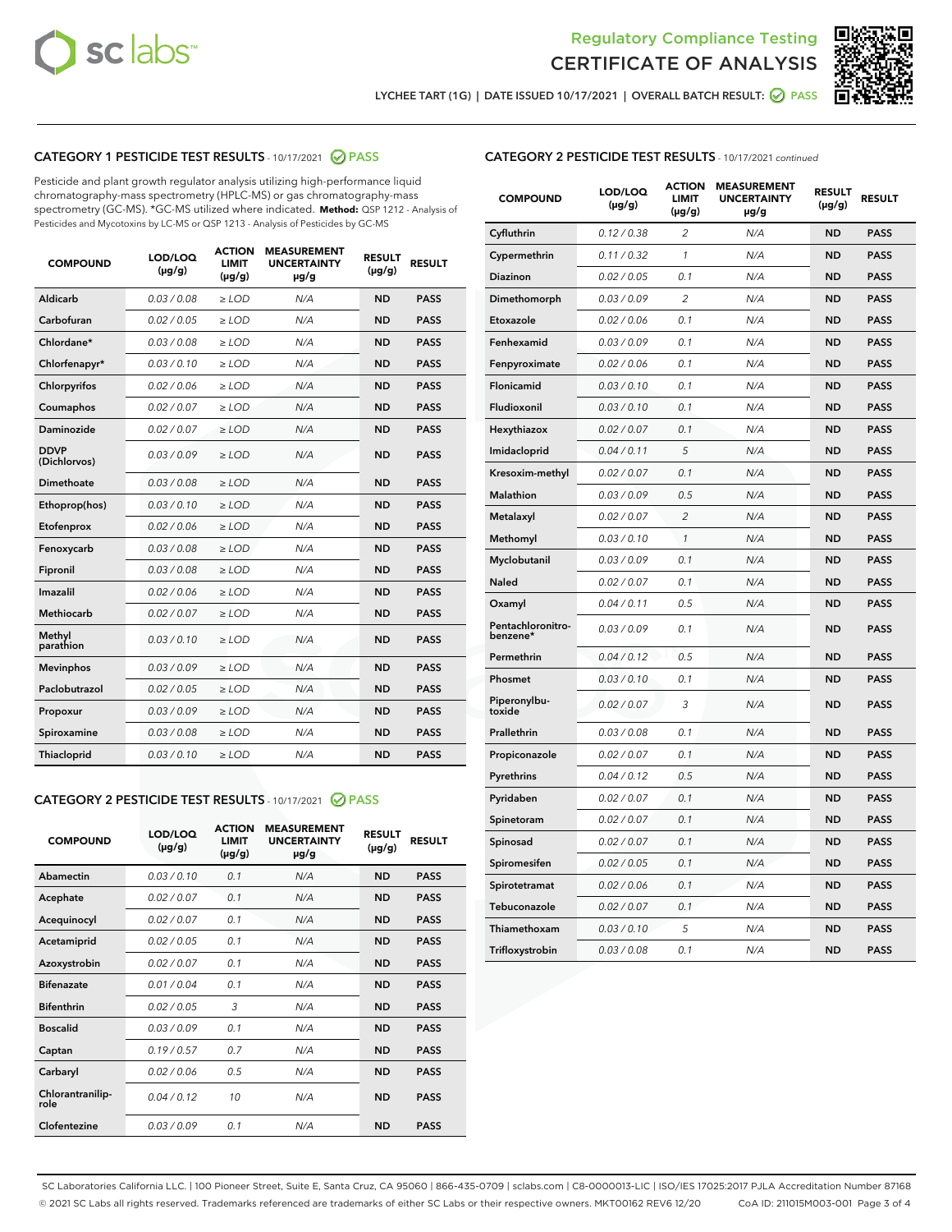



LYCHEE TART (1G) | DATE ISSUED 10/17/2021 | OVERALL BATCH RESULT:  $\bigcirc$  PASS

## CATEGORY 1 PESTICIDE TEST RESULTS - 10/17/2021 2 PASS

Pesticide and plant growth regulator analysis utilizing high-performance liquid chromatography-mass spectrometry (HPLC-MS) or gas chromatography-mass spectrometry (GC-MS). \*GC-MS utilized where indicated. **Method:** QSP 1212 - Analysis of Pesticides and Mycotoxins by LC-MS or QSP 1213 - Analysis of Pesticides by GC-MS

| <b>COMPOUND</b>             | LOD/LOQ<br>$(\mu g/g)$ | <b>ACTION</b><br><b>LIMIT</b><br>$(\mu g/g)$ | <b>MEASUREMENT</b><br><b>UNCERTAINTY</b><br>$\mu$ g/g | <b>RESULT</b><br>$(\mu g/g)$ | <b>RESULT</b> |
|-----------------------------|------------------------|----------------------------------------------|-------------------------------------------------------|------------------------------|---------------|
| Aldicarb                    | 0.03 / 0.08            | $\ge$ LOD                                    | N/A                                                   | <b>ND</b>                    | <b>PASS</b>   |
| Carbofuran                  | 0.02 / 0.05            | $\ge$ LOD                                    | N/A                                                   | <b>ND</b>                    | <b>PASS</b>   |
| Chlordane*                  | 0.03 / 0.08            | $\ge$ LOD                                    | N/A                                                   | <b>ND</b>                    | <b>PASS</b>   |
| Chlorfenapyr*               | 0.03/0.10              | $\ge$ LOD                                    | N/A                                                   | <b>ND</b>                    | <b>PASS</b>   |
| Chlorpyrifos                | 0.02 / 0.06            | $\ge$ LOD                                    | N/A                                                   | <b>ND</b>                    | <b>PASS</b>   |
| Coumaphos                   | 0.02 / 0.07            | $\ge$ LOD                                    | N/A                                                   | <b>ND</b>                    | <b>PASS</b>   |
| Daminozide                  | 0.02 / 0.07            | $\ge$ LOD                                    | N/A                                                   | <b>ND</b>                    | <b>PASS</b>   |
| <b>DDVP</b><br>(Dichlorvos) | 0.03/0.09              | $>$ LOD                                      | N/A                                                   | <b>ND</b>                    | <b>PASS</b>   |
| Dimethoate                  | 0.03 / 0.08            | $\ge$ LOD                                    | N/A                                                   | <b>ND</b>                    | <b>PASS</b>   |
| Ethoprop(hos)               | 0.03/0.10              | $>$ LOD                                      | N/A                                                   | <b>ND</b>                    | <b>PASS</b>   |
| Etofenprox                  | 0.02 / 0.06            | $\ge$ LOD                                    | N/A                                                   | <b>ND</b>                    | <b>PASS</b>   |
| Fenoxycarb                  | 0.03 / 0.08            | $\ge$ LOD                                    | N/A                                                   | <b>ND</b>                    | <b>PASS</b>   |
| Fipronil                    | 0.03 / 0.08            | $\ge$ LOD                                    | N/A                                                   | <b>ND</b>                    | <b>PASS</b>   |
| Imazalil                    | 0.02 / 0.06            | $>$ LOD                                      | N/A                                                   | <b>ND</b>                    | <b>PASS</b>   |
| <b>Methiocarb</b>           | 0.02 / 0.07            | $\ge$ LOD                                    | N/A                                                   | <b>ND</b>                    | <b>PASS</b>   |
| Methyl<br>parathion         | 0.03/0.10              | $\ge$ LOD                                    | N/A                                                   | <b>ND</b>                    | <b>PASS</b>   |
| <b>Mevinphos</b>            | 0.03/0.09              | $\ge$ LOD                                    | N/A                                                   | <b>ND</b>                    | <b>PASS</b>   |
| Paclobutrazol               | 0.02 / 0.05            | $>$ LOD                                      | N/A                                                   | <b>ND</b>                    | <b>PASS</b>   |
| Propoxur                    | 0.03/0.09              | $\ge$ LOD                                    | N/A                                                   | <b>ND</b>                    | <b>PASS</b>   |
| Spiroxamine                 | 0.03 / 0.08            | $\ge$ LOD                                    | N/A                                                   | <b>ND</b>                    | <b>PASS</b>   |
| Thiacloprid                 | 0.03/0.10              | $\ge$ LOD                                    | N/A                                                   | <b>ND</b>                    | <b>PASS</b>   |

#### CATEGORY 2 PESTICIDE TEST RESULTS - 10/17/2021 @ PASS

| <b>COMPOUND</b>          | LOD/LOQ<br>$(\mu g/g)$ | <b>ACTION</b><br><b>LIMIT</b><br>$(\mu g/g)$ | <b>MEASUREMENT</b><br><b>UNCERTAINTY</b><br>$\mu$ g/g | <b>RESULT</b><br>$(\mu g/g)$ | <b>RESULT</b> |
|--------------------------|------------------------|----------------------------------------------|-------------------------------------------------------|------------------------------|---------------|
| Abamectin                | 0.03/0.10              | 0.1                                          | N/A                                                   | <b>ND</b>                    | <b>PASS</b>   |
| Acephate                 | 0.02/0.07              | 0.1                                          | N/A                                                   | <b>ND</b>                    | <b>PASS</b>   |
| Acequinocyl              | 0.02/0.07              | 0.1                                          | N/A                                                   | <b>ND</b>                    | <b>PASS</b>   |
| Acetamiprid              | 0.02/0.05              | 0.1                                          | N/A                                                   | <b>ND</b>                    | <b>PASS</b>   |
| Azoxystrobin             | 0 02 / 0 07            | 0.1                                          | N/A                                                   | <b>ND</b>                    | <b>PASS</b>   |
| <b>Bifenazate</b>        | 0.01/0.04              | 0.1                                          | N/A                                                   | <b>ND</b>                    | <b>PASS</b>   |
| <b>Bifenthrin</b>        | 0.02 / 0.05            | 3                                            | N/A                                                   | <b>ND</b>                    | <b>PASS</b>   |
| <b>Boscalid</b>          | 0.03/0.09              | 0.1                                          | N/A                                                   | <b>ND</b>                    | <b>PASS</b>   |
| Captan                   | 0.19/0.57              | 0.7                                          | N/A                                                   | <b>ND</b>                    | <b>PASS</b>   |
| Carbaryl                 | 0.02/0.06              | 0.5                                          | N/A                                                   | <b>ND</b>                    | <b>PASS</b>   |
| Chlorantranilip-<br>role | 0.04/0.12              | 10                                           | N/A                                                   | <b>ND</b>                    | <b>PASS</b>   |
| Clofentezine             | 0.03/0.09              | 0.1                                          | N/A                                                   | <b>ND</b>                    | <b>PASS</b>   |

## CATEGORY 2 PESTICIDE TEST RESULTS - 10/17/2021 continued

| <b>COMPOUND</b>               | LOD/LOQ<br>(µg/g) | <b>ACTION</b><br>LIMIT<br>$(\mu g/g)$ | <b>MEASUREMENT</b><br><b>UNCERTAINTY</b><br>µg/g | <b>RESULT</b><br>(µg/g) | <b>RESULT</b> |
|-------------------------------|-------------------|---------------------------------------|--------------------------------------------------|-------------------------|---------------|
| Cyfluthrin                    | 0.12 / 0.38       | 2                                     | N/A                                              | ND                      | <b>PASS</b>   |
| Cypermethrin                  | 0.11 / 0.32       | 1                                     | N/A                                              | ND                      | <b>PASS</b>   |
| Diazinon                      | 0.02 / 0.05       | 0.1                                   | N/A                                              | ND                      | <b>PASS</b>   |
| Dimethomorph                  | 0.03 / 0.09       | $\overline{2}$                        | N/A                                              | <b>ND</b>               | <b>PASS</b>   |
| Etoxazole                     | 0.02 / 0.06       | 0.1                                   | N/A                                              | ND                      | <b>PASS</b>   |
| Fenhexamid                    | 0.03 / 0.09       | 0.1                                   | N/A                                              | ND                      | <b>PASS</b>   |
| Fenpyroximate                 | 0.02 / 0.06       | 0.1                                   | N/A                                              | <b>ND</b>               | <b>PASS</b>   |
| Flonicamid                    | 0.03 / 0.10       | 0.1                                   | N/A                                              | <b>ND</b>               | <b>PASS</b>   |
| Fludioxonil                   | 0.03 / 0.10       | 0.1                                   | N/A                                              | <b>ND</b>               | <b>PASS</b>   |
| Hexythiazox                   | 0.02 / 0.07       | 0.1                                   | N/A                                              | <b>ND</b>               | <b>PASS</b>   |
| Imidacloprid                  | 0.04 / 0.11       | 5                                     | N/A                                              | <b>ND</b>               | <b>PASS</b>   |
| Kresoxim-methyl               | 0.02 / 0.07       | 0.1                                   | N/A                                              | ND                      | <b>PASS</b>   |
| Malathion                     | 0.03 / 0.09       | 0.5                                   | N/A                                              | <b>ND</b>               | <b>PASS</b>   |
| Metalaxyl                     | 0.02 / 0.07       | $\overline{c}$                        | N/A                                              | <b>ND</b>               | <b>PASS</b>   |
| Methomyl                      | 0.03 / 0.10       | 1                                     | N/A                                              | ND                      | <b>PASS</b>   |
| Myclobutanil                  | 0.03/0.09         | 0.1                                   | N/A                                              | <b>ND</b>               | <b>PASS</b>   |
| Naled                         | 0.02 / 0.07       | 0.1                                   | N/A                                              | ND                      | <b>PASS</b>   |
| Oxamyl                        | 0.04 / 0.11       | 0.5                                   | N/A                                              | ND                      | <b>PASS</b>   |
| Pentachloronitro-<br>benzene* | 0.03 / 0.09       | 0.1                                   | N/A                                              | ND                      | <b>PASS</b>   |
| Permethrin                    | 0.04/0.12         | 0.5                                   | N/A                                              | <b>ND</b>               | <b>PASS</b>   |
| Phosmet                       | 0.03 / 0.10       | 0.1                                   | N/A                                              | ND                      | <b>PASS</b>   |
| Piperonylbu-<br>toxide        | 0.02 / 0.07       | 3                                     | N/A                                              | <b>ND</b>               | <b>PASS</b>   |
| Prallethrin                   | 0.03 / 0.08       | 0.1                                   | N/A                                              | <b>ND</b>               | <b>PASS</b>   |
| Propiconazole                 | 0.02 / 0.07       | 0.1                                   | N/A                                              | ND                      | <b>PASS</b>   |
| Pyrethrins                    | 0.04 / 0.12       | 0.5                                   | N/A                                              | ND                      | <b>PASS</b>   |
| Pyridaben                     | 0.02 / 0.07       | 0.1                                   | N/A                                              | <b>ND</b>               | <b>PASS</b>   |
| Spinetoram                    | 0.02 / 0.07       | 0.1                                   | N/A                                              | ND                      | <b>PASS</b>   |
| Spinosad                      | 0.02 / 0.07       | 0.1                                   | N/A                                              | ND                      | <b>PASS</b>   |
| Spiromesifen                  | 0.02 / 0.05       | 0.1                                   | N/A                                              | <b>ND</b>               | <b>PASS</b>   |
| Spirotetramat                 | 0.02 / 0.06       | 0.1                                   | N/A                                              | ND                      | <b>PASS</b>   |
| Tebuconazole                  | 0.02 / 0.07       | 0.1                                   | N/A                                              | ND                      | <b>PASS</b>   |
| Thiamethoxam                  | 0.03 / 0.10       | 5                                     | N/A                                              | <b>ND</b>               | <b>PASS</b>   |
| Trifloxystrobin               | 0.03 / 0.08       | 0.1                                   | N/A                                              | <b>ND</b>               | <b>PASS</b>   |

SC Laboratories California LLC. | 100 Pioneer Street, Suite E, Santa Cruz, CA 95060 | 866-435-0709 | sclabs.com | C8-0000013-LIC | ISO/IES 17025:2017 PJLA Accreditation Number 87168 © 2021 SC Labs all rights reserved. Trademarks referenced are trademarks of either SC Labs or their respective owners. MKT00162 REV6 12/20 CoA ID: 211015M003-001 Page 3 of 4